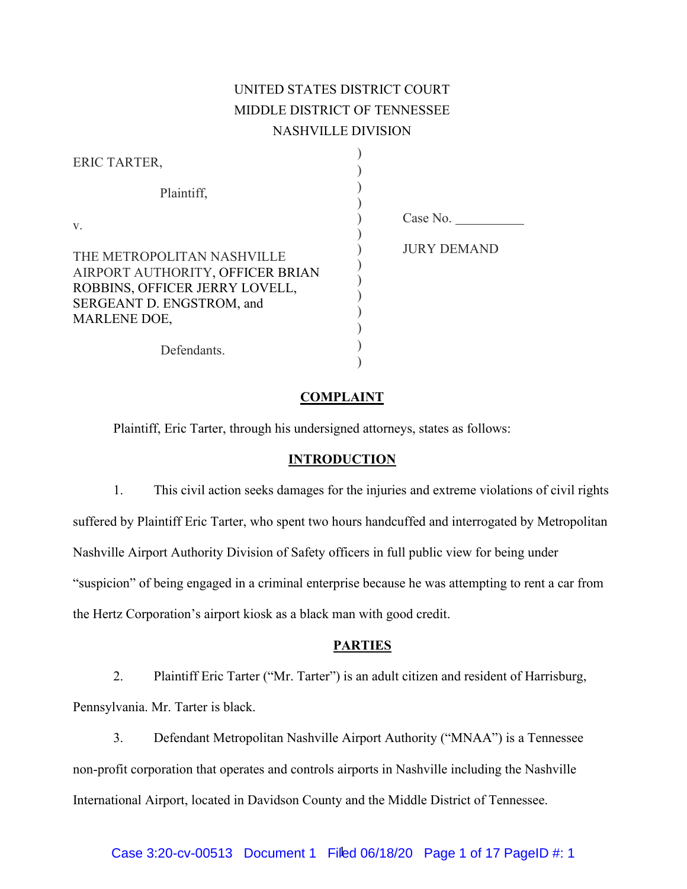# UNITED STATES DISTRICT COURT MIDDLE DISTRICT OF TENNESSEE NASHVILLE DIVISION

| ERIC TARTER,                                                                                                                                         |                    |
|------------------------------------------------------------------------------------------------------------------------------------------------------|--------------------|
| Plaintiff,                                                                                                                                           |                    |
| V.                                                                                                                                                   | Case No.           |
| THE METROPOLITAN NASHVILLE<br>AIRPORT AUTHORITY, OFFICER BRIAN<br>ROBBINS, OFFICER JERRY LOVELL,<br>SERGEANT D. ENGSTROM, and<br><b>MARLENE DOE,</b> | <b>JURY DEMAND</b> |
| Defendants.                                                                                                                                          |                    |

### **COMPLAINT**

Plaintiff, Eric Tarter, through his undersigned attorneys, states as follows:

#### **INTRODUCTION**

1. This civil action seeks damages for the injuries and extreme violations of civil rights suffered by Plaintiff Eric Tarter, who spent two hours handcuffed and interrogated by Metropolitan Nashville Airport Authority Division of Safety officers in full public view for being under "suspicion" of being engaged in a criminal enterprise because he was attempting to rent a car from the Hertz Corporation's airport kiosk as a black man with good credit.

#### **PARTIES**

2. Plaintiff Eric Tarter ("Mr. Tarter") is an adult citizen and resident of Harrisburg, Pennsylvania. Mr. Tarter is black.

3. Defendant Metropolitan Nashville Airport Authority ("MNAA") is a Tennessee non-profit corporation that operates and controls airports in Nashville including the Nashville International Airport, located in Davidson County and the Middle District of Tennessee.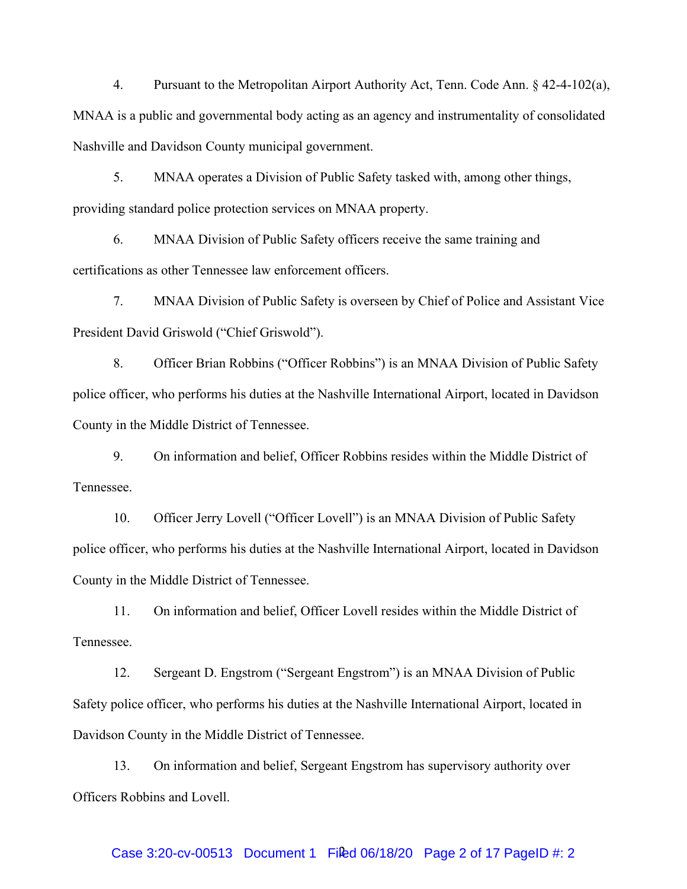4. Pursuant to the Metropolitan Airport Authority Act, Tenn. Code Ann. § 42-4-102(a), MNAA is a public and governmental body acting as an agency and instrumentality of consolidated Nashville and Davidson County municipal government.

5. MNAA operates a Division of Public Safety tasked with, among other things, providing standard police protection services on MNAA property.

6. MNAA Division of Public Safety officers receive the same training and certifications as other Tennessee law enforcement officers.

7. MNAA Division of Public Safety is overseen by Chief of Police and Assistant Vice President David Griswold ("Chief Griswold").

8. Officer Brian Robbins ("Officer Robbins") is an MNAA Division of Public Safety police officer, who performs his duties at the Nashville International Airport, located in Davidson County in the Middle District of Tennessee.

9. On information and belief, Officer Robbins resides within the Middle District of Tennessee.

10. Officer Jerry Lovell ("Officer Lovell") is an MNAA Division of Public Safety police officer, who performs his duties at the Nashville International Airport, located in Davidson County in the Middle District of Tennessee.

11. On information and belief, Officer Lovell resides within the Middle District of Tennessee.

12. Sergeant D. Engstrom ("Sergeant Engstrom") is an MNAA Division of Public Safety police officer, who performs his duties at the Nashville International Airport, located in Davidson County in the Middle District of Tennessee.

13. On information and belief, Sergeant Engstrom has supervisory authority over Officers Robbins and Lovell.

## Case 3:20-cv-00513 Document 1 Filed 06/18/20 Page 2 of 17 PageID #: 2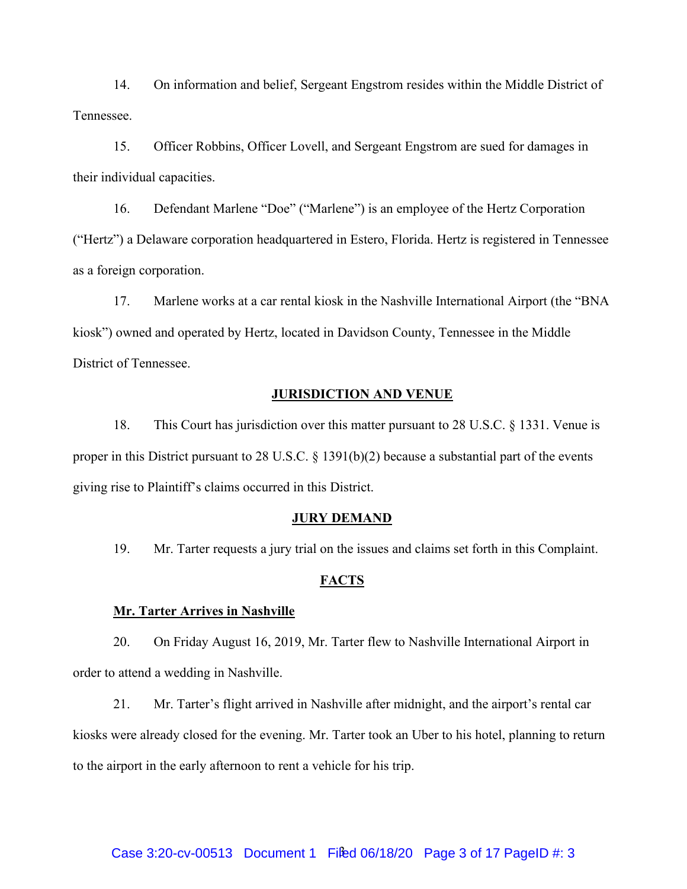14. On information and belief, Sergeant Engstrom resides within the Middle District of Tennessee.

15. Officer Robbins, Officer Lovell, and Sergeant Engstrom are sued for damages in their individual capacities.

16. Defendant Marlene "Doe" ("Marlene") is an employee of the Hertz Corporation ("Hertz") a Delaware corporation headquartered in Estero, Florida. Hertz is registered in Tennessee as a foreign corporation.

17. Marlene works at a car rental kiosk in the Nashville International Airport (the "BNA kiosk") owned and operated by Hertz, located in Davidson County, Tennessee in the Middle District of Tennessee.

### **JURISDICTION AND VENUE**

18. This Court has jurisdiction over this matter pursuant to 28 U.S.C. § 1331. Venue is proper in this District pursuant to 28 U.S.C. § 1391(b)(2) because a substantial part of the events giving rise to Plaintiff's claims occurred in this District.

### **JURY DEMAND**

19. Mr. Tarter requests a jury trial on the issues and claims set forth in this Complaint.

#### **FACTS**

#### **Mr. Tarter Arrives in Nashville**

20. On Friday August 16, 2019, Mr. Tarter flew to Nashville International Airport in order to attend a wedding in Nashville.

21. Mr. Tarter's flight arrived in Nashville after midnight, and the airport's rental car kiosks were already closed for the evening. Mr. Tarter took an Uber to his hotel, planning to return to the airport in the early afternoon to rent a vehicle for his trip.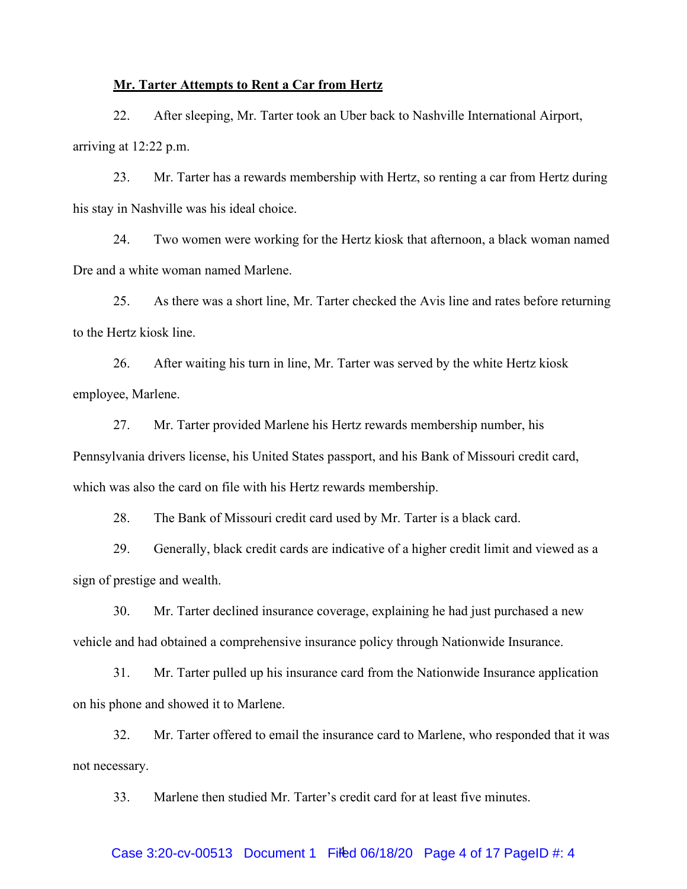#### **Mr. Tarter Attempts to Rent a Car from Hertz**

22. After sleeping, Mr. Tarter took an Uber back to Nashville International Airport, arriving at 12:22 p.m.

23. Mr. Tarter has a rewards membership with Hertz, so renting a car from Hertz during his stay in Nashville was his ideal choice.

24. Two women were working for the Hertz kiosk that afternoon, a black woman named Dre and a white woman named Marlene.

25. As there was a short line, Mr. Tarter checked the Avis line and rates before returning to the Hertz kiosk line.

26. After waiting his turn in line, Mr. Tarter was served by the white Hertz kiosk employee, Marlene.

27. Mr. Tarter provided Marlene his Hertz rewards membership number, his Pennsylvania drivers license, his United States passport, and his Bank of Missouri credit card, which was also the card on file with his Hertz rewards membership.

28. The Bank of Missouri credit card used by Mr. Tarter is a black card.

29. Generally, black credit cards are indicative of a higher credit limit and viewed as a sign of prestige and wealth.

30. Mr. Tarter declined insurance coverage, explaining he had just purchased a new vehicle and had obtained a comprehensive insurance policy through Nationwide Insurance.

31. Mr. Tarter pulled up his insurance card from the Nationwide Insurance application on his phone and showed it to Marlene.

32. Mr. Tarter offered to email the insurance card to Marlene, who responded that it was not necessary.

33. Marlene then studied Mr. Tarter's credit card for at least five minutes.

## Case 3:20-cv-00513 Document 1 Fifed 06/18/20 Page 4 of 17 PageID #: 4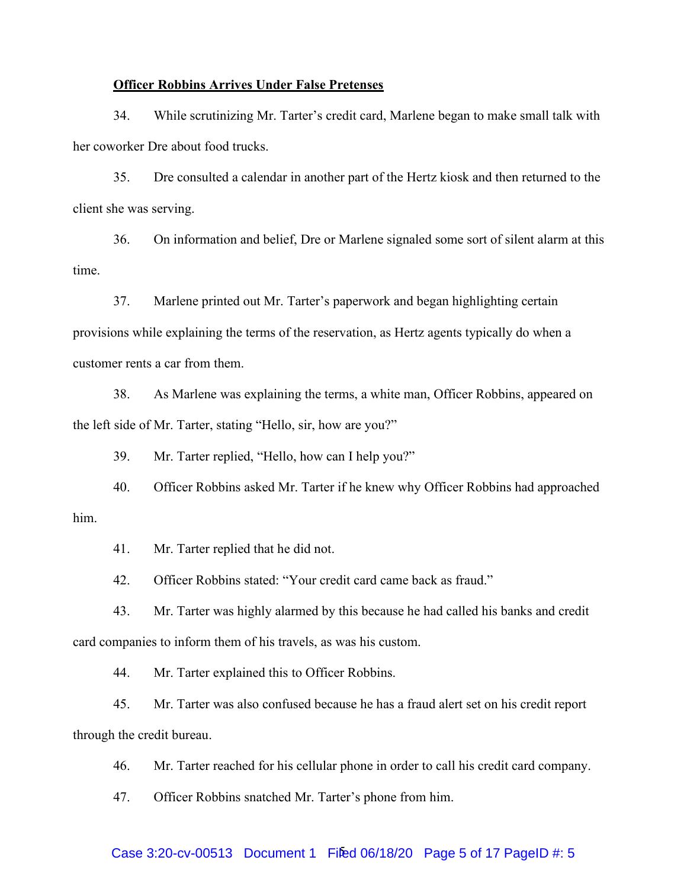#### **Officer Robbins Arrives Under False Pretenses**

34. While scrutinizing Mr. Tarter's credit card, Marlene began to make small talk with her coworker Dre about food trucks.

35. Dre consulted a calendar in another part of the Hertz kiosk and then returned to the client she was serving.

36. On information and belief, Dre or Marlene signaled some sort of silent alarm at this time.

37. Marlene printed out Mr. Tarter's paperwork and began highlighting certain provisions while explaining the terms of the reservation, as Hertz agents typically do when a customer rents a car from them.

38. As Marlene was explaining the terms, a white man, Officer Robbins, appeared on the left side of Mr. Tarter, stating "Hello, sir, how are you?"

39. Mr. Tarter replied, "Hello, how can I help you?"

40. Officer Robbins asked Mr. Tarter if he knew why Officer Robbins had approached him.

41. Mr. Tarter replied that he did not.

42. Officer Robbins stated: "Your credit card came back as fraud."

43. Mr. Tarter was highly alarmed by this because he had called his banks and credit card companies to inform them of his travels, as was his custom.

44. Mr. Tarter explained this to Officer Robbins.

45. Mr. Tarter was also confused because he has a fraud alert set on his credit report through the credit bureau.

46. Mr. Tarter reached for his cellular phone in order to call his credit card company.

47. Officer Robbins snatched Mr. Tarter's phone from him.

## Case 3:20-cv-00513 Document 1 Filed 06/18/20 Page 5 of 17 PageID #: 5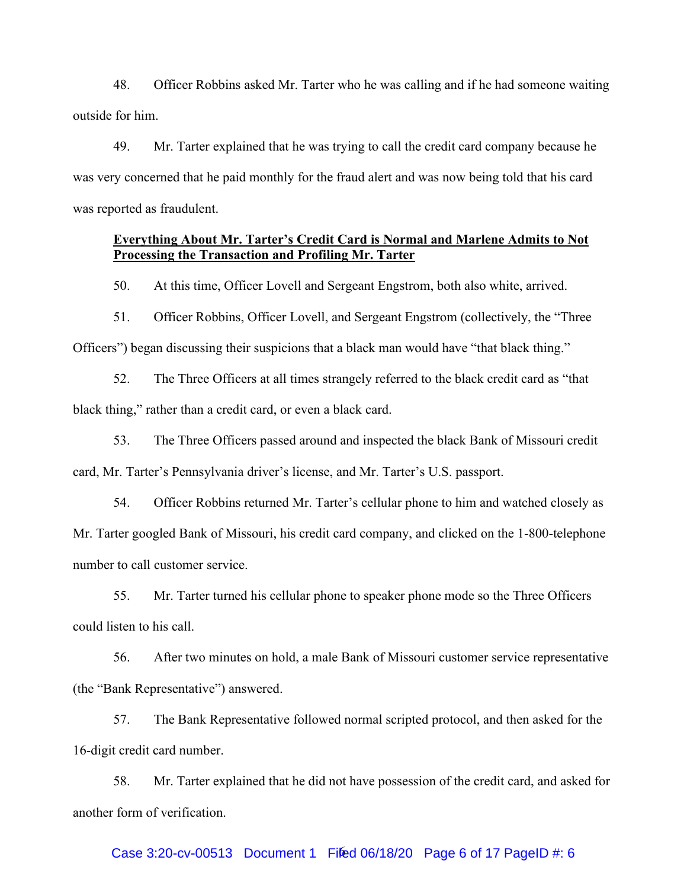48. Officer Robbins asked Mr. Tarter who he was calling and if he had someone waiting outside for him.

49. Mr. Tarter explained that he was trying to call the credit card company because he was very concerned that he paid monthly for the fraud alert and was now being told that his card was reported as fraudulent.

### **Everything About Mr. Tarter's Credit Card is Normal and Marlene Admits to Not Processing the Transaction and Profiling Mr. Tarter**

50. At this time, Officer Lovell and Sergeant Engstrom, both also white, arrived.

51. Officer Robbins, Officer Lovell, and Sergeant Engstrom (collectively, the "Three Officers") began discussing their suspicions that a black man would have "that black thing."

52. The Three Officers at all times strangely referred to the black credit card as "that black thing," rather than a credit card, or even a black card.

53. The Three Officers passed around and inspected the black Bank of Missouri credit

card, Mr. Tarter's Pennsylvania driver's license, and Mr. Tarter's U.S. passport.

54. Officer Robbins returned Mr. Tarter's cellular phone to him and watched closely as Mr. Tarter googled Bank of Missouri, his credit card company, and clicked on the 1-800-telephone number to call customer service.

55. Mr. Tarter turned his cellular phone to speaker phone mode so the Three Officers could listen to his call.

56. After two minutes on hold, a male Bank of Missouri customer service representative (the "Bank Representative") answered.

57. The Bank Representative followed normal scripted protocol, and then asked for the 16-digit credit card number.

58. Mr. Tarter explained that he did not have possession of the credit card, and asked for another form of verification.

## Case 3:20-cv-00513 Document 1 Filed 06/18/20 Page 6 of 17 PageID #: 6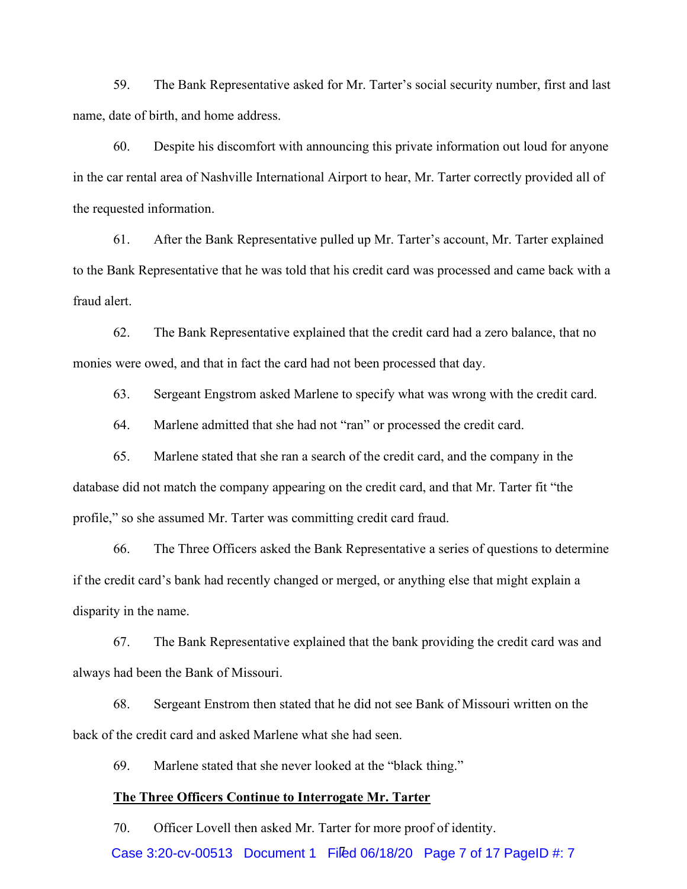59. The Bank Representative asked for Mr. Tarter's social security number, first and last name, date of birth, and home address.

60. Despite his discomfort with announcing this private information out loud for anyone in the car rental area of Nashville International Airport to hear, Mr. Tarter correctly provided all of the requested information.

61. After the Bank Representative pulled up Mr. Tarter's account, Mr. Tarter explained to the Bank Representative that he was told that his credit card was processed and came back with a fraud alert.

62. The Bank Representative explained that the credit card had a zero balance, that no monies were owed, and that in fact the card had not been processed that day.

63. Sergeant Engstrom asked Marlene to specify what was wrong with the credit card.

64. Marlene admitted that she had not "ran" or processed the credit card.

65. Marlene stated that she ran a search of the credit card, and the company in the database did not match the company appearing on the credit card, and that Mr. Tarter fit "the profile," so she assumed Mr. Tarter was committing credit card fraud.

66. The Three Officers asked the Bank Representative a series of questions to determine if the credit card's bank had recently changed or merged, or anything else that might explain a disparity in the name.

67. The Bank Representative explained that the bank providing the credit card was and always had been the Bank of Missouri.

68. Sergeant Enstrom then stated that he did not see Bank of Missouri written on the back of the credit card and asked Marlene what she had seen.

69. Marlene stated that she never looked at the "black thing."

### **The Three Officers Continue to Interrogate Mr. Tarter**

Case 3:20-cv-00513 Document 1 Filed 06/18/20 Page 7 of 17 PageID #: 7 70. Officer Lovell then asked Mr. Tarter for more proof of identity.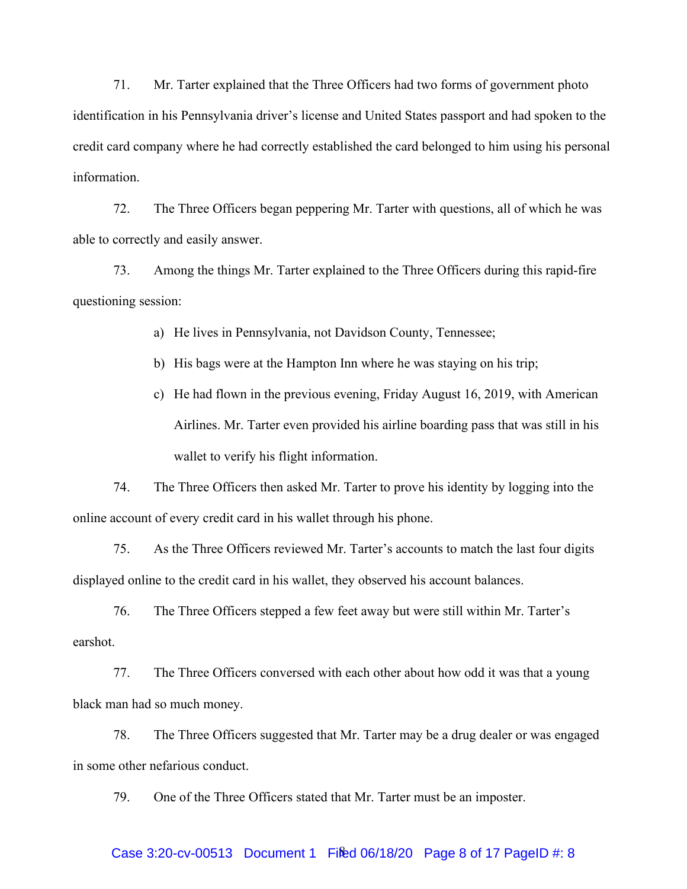71. Mr. Tarter explained that the Three Officers had two forms of government photo identification in his Pennsylvania driver's license and United States passport and had spoken to the credit card company where he had correctly established the card belonged to him using his personal information.

72. The Three Officers began peppering Mr. Tarter with questions, all of which he was able to correctly and easily answer.

73. Among the things Mr. Tarter explained to the Three Officers during this rapid-fire questioning session:

a) He lives in Pennsylvania, not Davidson County, Tennessee;

- b) His bags were at the Hampton Inn where he was staying on his trip;
- c) He had flown in the previous evening, Friday August 16, 2019, with American Airlines. Mr. Tarter even provided his airline boarding pass that was still in his wallet to verify his flight information.

74. The Three Officers then asked Mr. Tarter to prove his identity by logging into the online account of every credit card in his wallet through his phone.

75. As the Three Officers reviewed Mr. Tarter's accounts to match the last four digits displayed online to the credit card in his wallet, they observed his account balances.

76. The Three Officers stepped a few feet away but were still within Mr. Tarter's earshot.

77. The Three Officers conversed with each other about how odd it was that a young black man had so much money.

78. The Three Officers suggested that Mr. Tarter may be a drug dealer or was engaged in some other nefarious conduct.

79. One of the Three Officers stated that Mr. Tarter must be an imposter.

## Case 3:20-cv-00513 Document 1 Filed 06/18/20 Page 8 of 17 PageID #: 8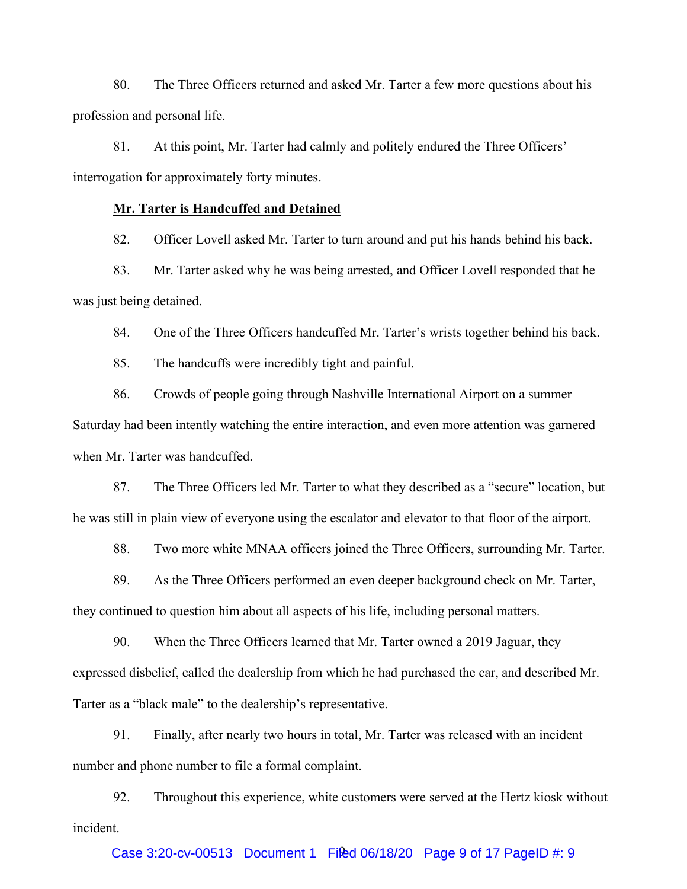80. The Three Officers returned and asked Mr. Tarter a few more questions about his profession and personal life.

81. At this point, Mr. Tarter had calmly and politely endured the Three Officers' interrogation for approximately forty minutes.

### **Mr. Tarter is Handcuffed and Detained**

82. Officer Lovell asked Mr. Tarter to turn around and put his hands behind his back.

83. Mr. Tarter asked why he was being arrested, and Officer Lovell responded that he was just being detained.

84. One of the Three Officers handcuffed Mr. Tarter's wrists together behind his back.

85. The handcuffs were incredibly tight and painful.

86. Crowds of people going through Nashville International Airport on a summer Saturday had been intently watching the entire interaction, and even more attention was garnered when Mr. Tarter was handcuffed.

87. The Three Officers led Mr. Tarter to what they described as a "secure" location, but he was still in plain view of everyone using the escalator and elevator to that floor of the airport.

88. Two more white MNAA officers joined the Three Officers, surrounding Mr. Tarter.

89. As the Three Officers performed an even deeper background check on Mr. Tarter, they continued to question him about all aspects of his life, including personal matters.

90. When the Three Officers learned that Mr. Tarter owned a 2019 Jaguar, they expressed disbelief, called the dealership from which he had purchased the car, and described Mr. Tarter as a "black male" to the dealership's representative.

91. Finally, after nearly two hours in total, Mr. Tarter was released with an incident number and phone number to file a formal complaint.

92. Throughout this experience, white customers were served at the Hertz kiosk without incident.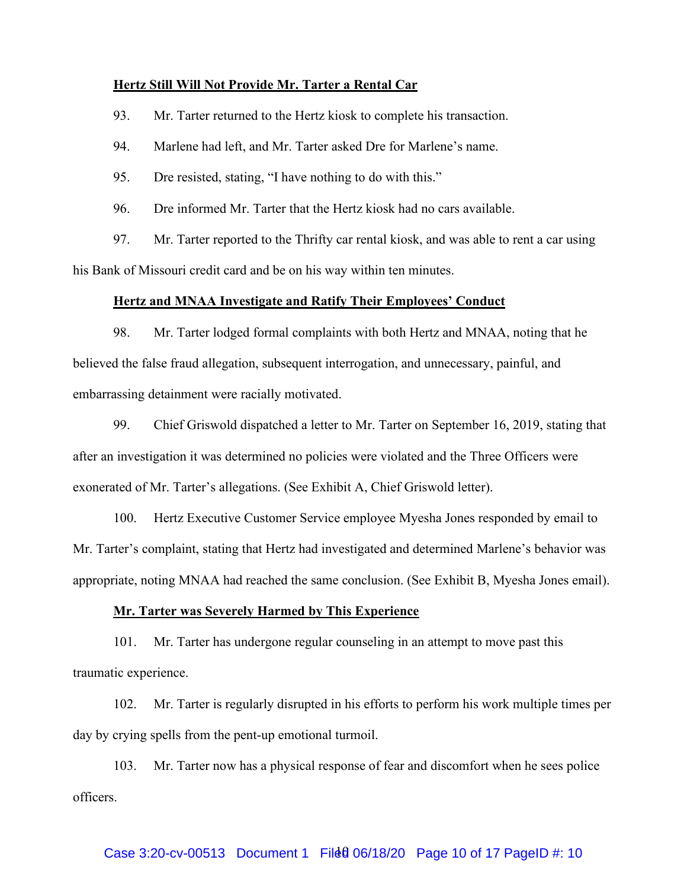#### **Hertz Still Will Not Provide Mr. Tarter a Rental Car**

93. Mr. Tarter returned to the Hertz kiosk to complete his transaction.

94. Marlene had left, and Mr. Tarter asked Dre for Marlene's name.

95. Dre resisted, stating, "I have nothing to do with this."

96. Dre informed Mr. Tarter that the Hertz kiosk had no cars available.

97. Mr. Tarter reported to the Thrifty car rental kiosk, and was able to rent a car using his Bank of Missouri credit card and be on his way within ten minutes.

#### **Hertz and MNAA Investigate and Ratify Their Employees' Conduct**

98. Mr. Tarter lodged formal complaints with both Hertz and MNAA, noting that he believed the false fraud allegation, subsequent interrogation, and unnecessary, painful, and embarrassing detainment were racially motivated.

99. Chief Griswold dispatched a letter to Mr. Tarter on September 16, 2019, stating that after an investigation it was determined no policies were violated and the Three Officers were exonerated of Mr. Tarter's allegations. (See Exhibit A, Chief Griswold letter).

100. Hertz Executive Customer Service employee Myesha Jones responded by email to Mr. Tarter's complaint, stating that Hertz had investigated and determined Marlene's behavior was appropriate, noting MNAA had reached the same conclusion. (See Exhibit B, Myesha Jones email).

#### **Mr. Tarter was Severely Harmed by This Experience**

101. Mr. Tarter has undergone regular counseling in an attempt to move past this traumatic experience.

102. Mr. Tarter is regularly disrupted in his efforts to perform his work multiple times per day by crying spells from the pent-up emotional turmoil.

103. Mr. Tarter now has a physical response of fear and discomfort when he sees police officers.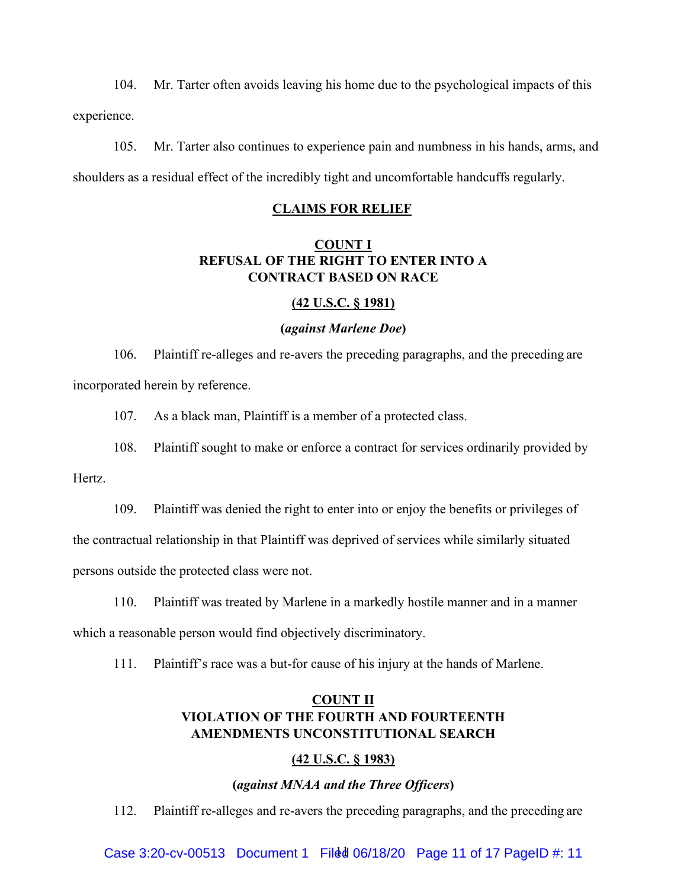104. Mr. Tarter often avoids leaving his home due to the psychological impacts of this experience.

105. Mr. Tarter also continues to experience pain and numbness in his hands, arms, and shoulders as a residual effect of the incredibly tight and uncomfortable handcuffs regularly.

#### **CLAIMS FOR RELIEF**

## **COUNT I REFUSAL OF THE RIGHT TO ENTER INTO A CONTRACT BASED ON RACE**

### **(42 U.S.C. § 1981)**

#### **(***against Marlene Doe***)**

106. Plaintiff re-alleges and re-avers the preceding paragraphs, and the preceding are incorporated herein by reference.

107. As a black man, Plaintiff is a member of a protected class.

108. Plaintiff sought to make or enforce a contract for services ordinarily provided by

Hertz.

109. Plaintiff was denied the right to enter into or enjoy the benefits or privileges of

the contractual relationship in that Plaintiff was deprived of services while similarly situated

persons outside the protected class were not.

110. Plaintiff was treated by Marlene in a markedly hostile manner and in a manner which a reasonable person would find objectively discriminatory.

111. Plaintiff's race was a but-for cause of his injury at the hands of Marlene.

## **COUNT II VIOLATION OF THE FOURTH AND FOURTEENTH AMENDMENTS UNCONSTITUTIONAL SEARCH**

### **(42 U.S.C. § 1983)**

### **(***against MNAA and the Three Officers***)**

112. Plaintiff re-alleges and re-avers the preceding paragraphs, and the preceding are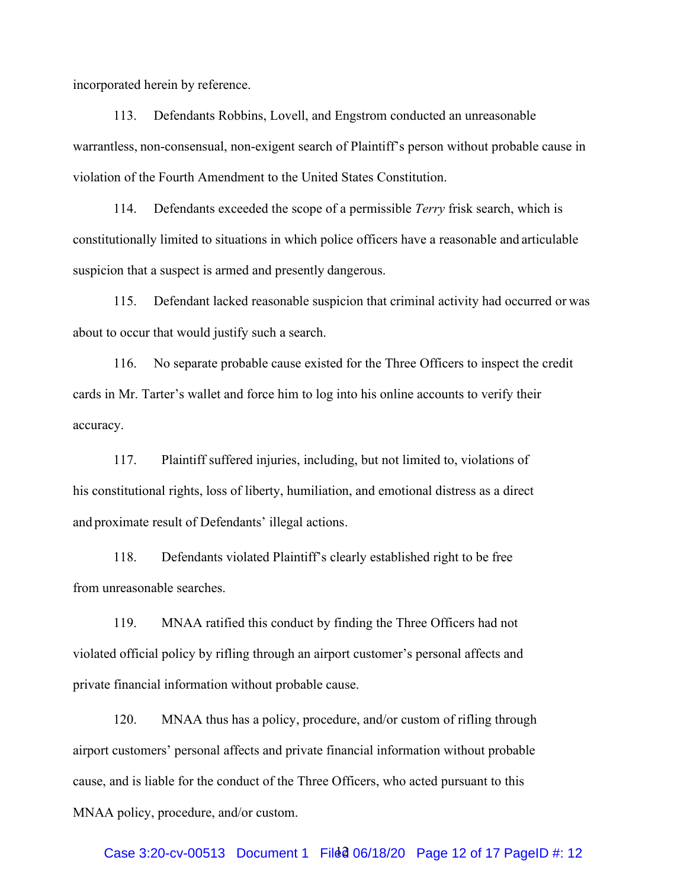incorporated herein by reference.

113. Defendants Robbins, Lovell, and Engstrom conducted an unreasonable warrantless, non-consensual, non-exigent search of Plaintiff's person without probable cause in violation of the Fourth Amendment to the United States Constitution.

114. Defendants exceeded the scope of a permissible *Terry* frisk search, which is constitutionally limited to situations in which police officers have a reasonable and articulable suspicion that a suspect is armed and presently dangerous.

115. Defendant lacked reasonable suspicion that criminal activity had occurred or was about to occur that would justify such a search.

116. No separate probable cause existed for the Three Officers to inspect the credit cards in Mr. Tarter's wallet and force him to log into his online accounts to verify their accuracy.

117. Plaintiff suffered injuries, including, but not limited to, violations of his constitutional rights, loss of liberty, humiliation, and emotional distress as a direct and proximate result of Defendants' illegal actions.

118. Defendants violated Plaintiff's clearly established right to be free from unreasonable searches.

119. MNAA ratified this conduct by finding the Three Officers had not violated official policy by rifling through an airport customer's personal affects and private financial information without probable cause.

120. MNAA thus has a policy, procedure, and/or custom of rifling through airport customers' personal affects and private financial information without probable cause, and is liable for the conduct of the Three Officers, who acted pursuant to this MNAA policy, procedure, and/or custom.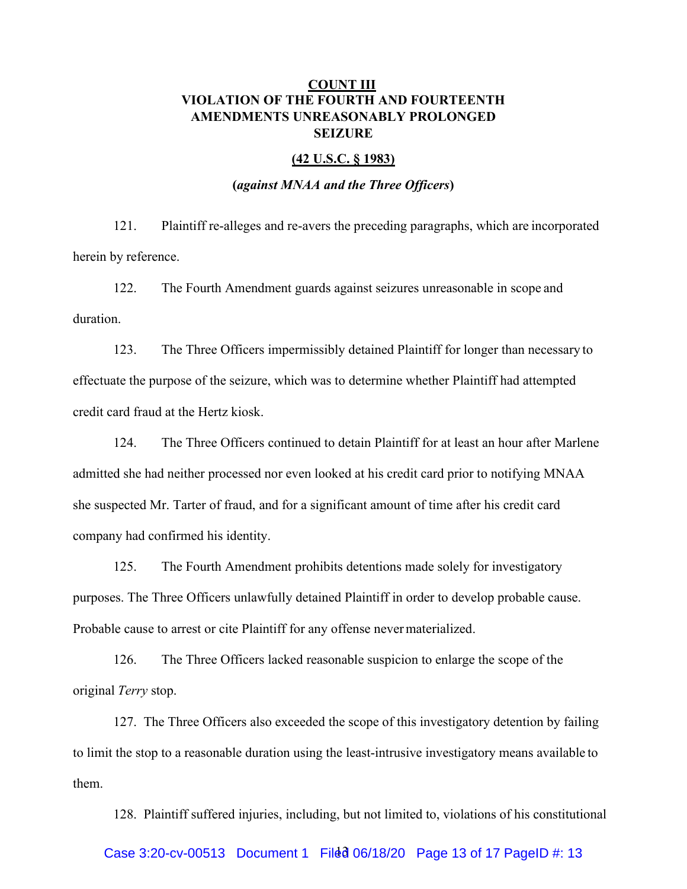## **COUNT III VIOLATION OF THE FOURTH AND FOURTEENTH AMENDMENTS UNREASONABLY PROLONGED SEIZURE**

#### **(42 U.S.C. § 1983)**

#### **(***against MNAA and the Three Officers***)**

121. Plaintiff re-alleges and re-avers the preceding paragraphs, which are incorporated herein by reference.

122. The Fourth Amendment guards against seizures unreasonable in scope and duration.

123. The Three Officers impermissibly detained Plaintiff for longer than necessary to effectuate the purpose of the seizure, which was to determine whether Plaintiff had attempted credit card fraud at the Hertz kiosk.

124. The Three Officers continued to detain Plaintiff for at least an hour after Marlene admitted she had neither processed nor even looked at his credit card prior to notifying MNAA she suspected Mr. Tarter of fraud, and for a significant amount of time after his credit card company had confirmed his identity.

125. The Fourth Amendment prohibits detentions made solely for investigatory purposes. The Three Officers unlawfully detained Plaintiff in order to develop probable cause. Probable cause to arrest or cite Plaintiff for any offense nevermaterialized.

126. The Three Officers lacked reasonable suspicion to enlarge the scope of the original *Terry* stop.

127. The Three Officers also exceeded the scope of this investigatory detention by failing to limit the stop to a reasonable duration using the least-intrusive investigatory means available to them.

128. Plaintiff suffered injuries, including, but not limited to, violations of his constitutional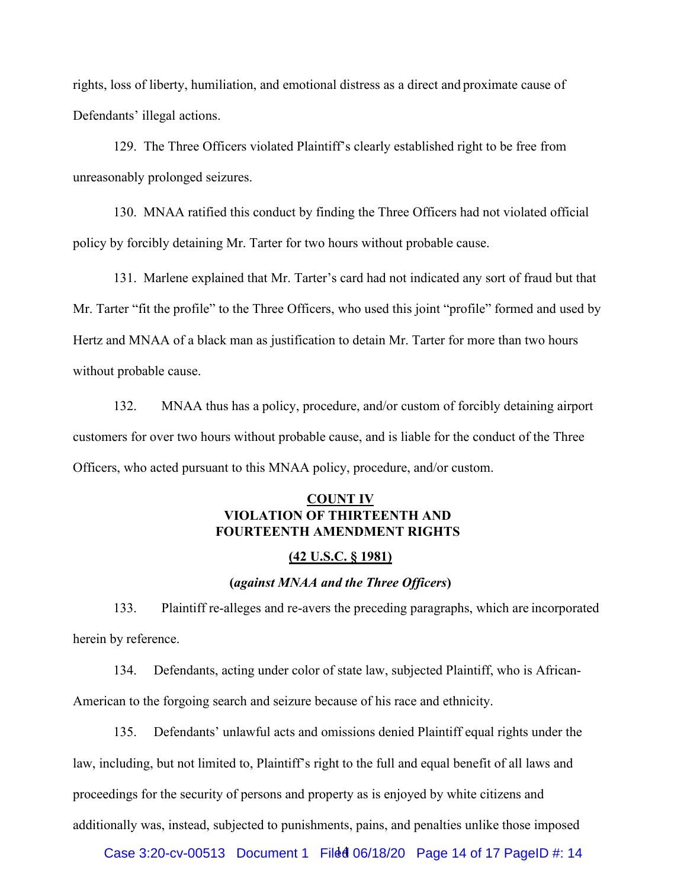rights, loss of liberty, humiliation, and emotional distress as a direct and proximate cause of Defendants' illegal actions.

129. The Three Officers violated Plaintiff's clearly established right to be free from unreasonably prolonged seizures.

130. MNAA ratified this conduct by finding the Three Officers had not violated official policy by forcibly detaining Mr. Tarter for two hours without probable cause.

131. Marlene explained that Mr. Tarter's card had not indicated any sort of fraud but that Mr. Tarter "fit the profile" to the Three Officers, who used this joint "profile" formed and used by Hertz and MNAA of a black man as justification to detain Mr. Tarter for more than two hours without probable cause.

132. MNAA thus has a policy, procedure, and/or custom of forcibly detaining airport customers for over two hours without probable cause, and is liable for the conduct of the Three Officers, who acted pursuant to this MNAA policy, procedure, and/or custom.

## **COUNT IV VIOLATION OF THIRTEENTH AND FOURTEENTH AMENDMENT RIGHTS**

### **(42 U.S.C. § 1981)**

### **(***against MNAA and the Three Officers***)**

133. Plaintiff re-alleges and re-avers the preceding paragraphs, which are incorporated herein by reference.

134. Defendants, acting under color of state law, subjected Plaintiff, who is African-American to the forgoing search and seizure because of his race and ethnicity.

135. Defendants' unlawful acts and omissions denied Plaintiff equal rights under the law, including, but not limited to, Plaintiff's right to the full and equal benefit of all laws and proceedings for the security of persons and property as is enjoyed by white citizens and additionally was, instead, subjected to punishments, pains, and penalties unlike those imposed

Case 3:20-cv-00513 Document 1 Filed 06/18/20 Page 14 of 17 PageID #: 14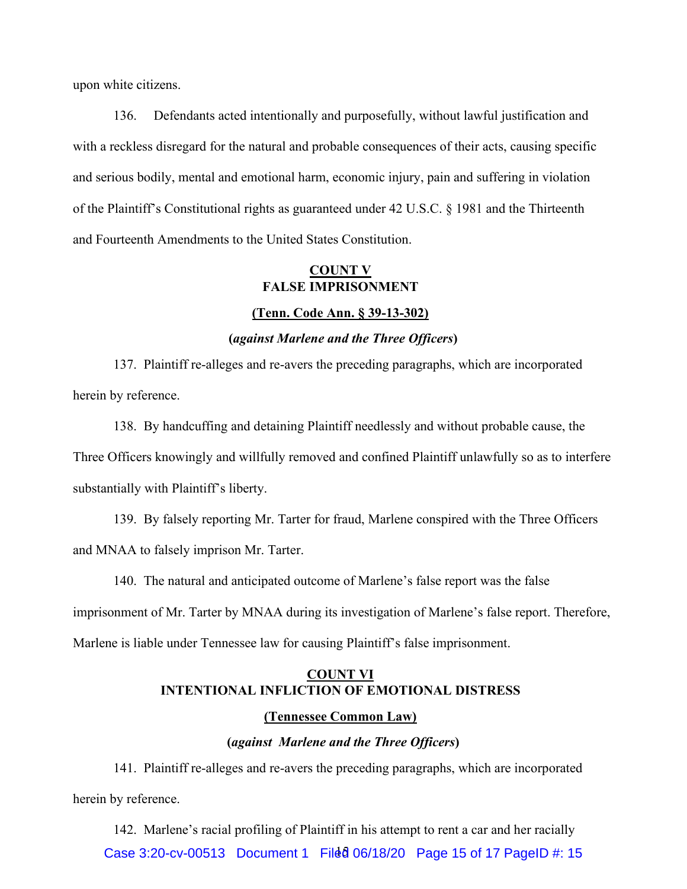upon white citizens.

136. Defendants acted intentionally and purposefully, without lawful justification and with a reckless disregard for the natural and probable consequences of their acts, causing specific and serious bodily, mental and emotional harm, economic injury, pain and suffering in violation of the Plaintiff's Constitutional rights as guaranteed under 42 U.S.C. § 1981 and the Thirteenth and Fourteenth Amendments to the United States Constitution.

## **COUNT V FALSE IMPRISONMENT**

#### **(Tenn. Code Ann. § 39-13-302)**

#### **(***against Marlene and the Three Officers***)**

137. Plaintiff re-alleges and re-avers the preceding paragraphs, which are incorporated herein by reference.

138. By handcuffing and detaining Plaintiff needlessly and without probable cause, the Three Officers knowingly and willfully removed and confined Plaintiff unlawfully so as to interfere substantially with Plaintiff's liberty.

139. By falsely reporting Mr. Tarter for fraud, Marlene conspired with the Three Officers and MNAA to falsely imprison Mr. Tarter.

140. The natural and anticipated outcome of Marlene's false report was the false

imprisonment of Mr. Tarter by MNAA during its investigation of Marlene's false report. Therefore,

Marlene is liable under Tennessee law for causing Plaintiff's false imprisonment.

# **COUNT VI INTENTIONAL INFLICTION OF EMOTIONAL DISTRESS**

### **(Tennessee Common Law)**

## **(***against Marlene and the Three Officers***)**

141. Plaintiff re-alleges and re-avers the preceding paragraphs, which are incorporated herein by reference.

Case 3:20-cv-00513 Document 1 Filed 06/18/20 Page 15 of 17 PageID #: 15 142. Marlene's racial profiling of Plaintiff in his attempt to rent a car and her racially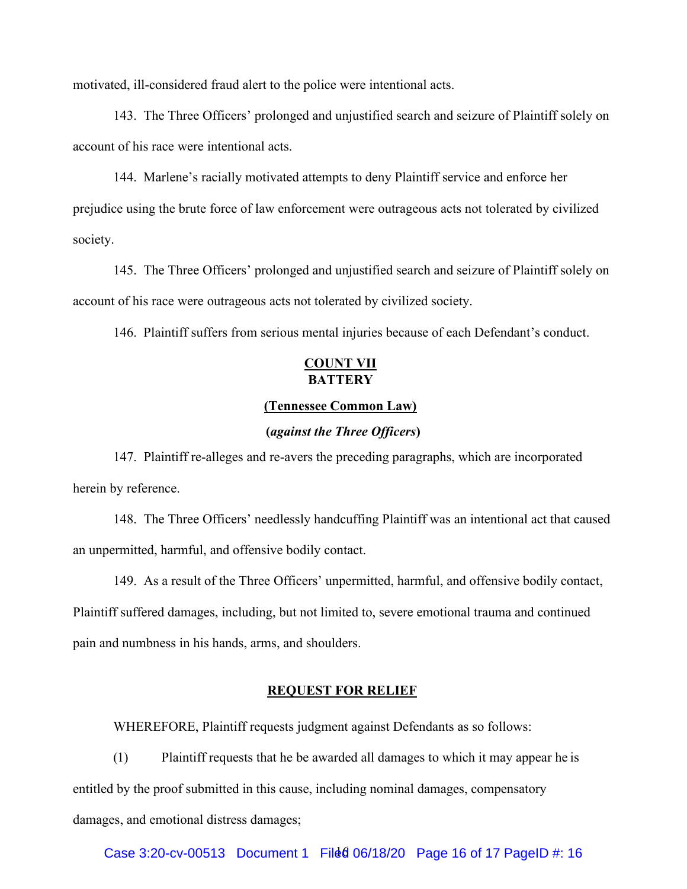motivated, ill-considered fraud alert to the police were intentional acts.

143. The Three Officers' prolonged and unjustified search and seizure of Plaintiff solely on account of his race were intentional acts.

144. Marlene's racially motivated attempts to deny Plaintiff service and enforce her prejudice using the brute force of law enforcement were outrageous acts not tolerated by civilized society.

145. The Three Officers' prolonged and unjustified search and seizure of Plaintiff solely on account of his race were outrageous acts not tolerated by civilized society.

146. Plaintiff suffers from serious mental injuries because of each Defendant's conduct.

## **COUNT VII BATTERY**

#### **(Tennessee Common Law)**

### **(***against the Three Officers***)**

147. Plaintiff re-alleges and re-avers the preceding paragraphs, which are incorporated herein by reference.

148. The Three Officers' needlessly handcuffing Plaintiff was an intentional act that caused an unpermitted, harmful, and offensive bodily contact.

149. As a result of the Three Officers' unpermitted, harmful, and offensive bodily contact, Plaintiff suffered damages, including, but not limited to, severe emotional trauma and continued pain and numbness in his hands, arms, and shoulders.

#### **REQUEST FOR RELIEF**

WHEREFORE, Plaintiff requests judgment against Defendants as so follows:

(1) Plaintiff requests that he be awarded all damages to which it may appear he is entitled by the proof submitted in this cause, including nominal damages, compensatory damages, and emotional distress damages;

Case 3:20-cv-00513 Document 1 Filed 06/18/20 Page 16 of 17 PageID #: 16